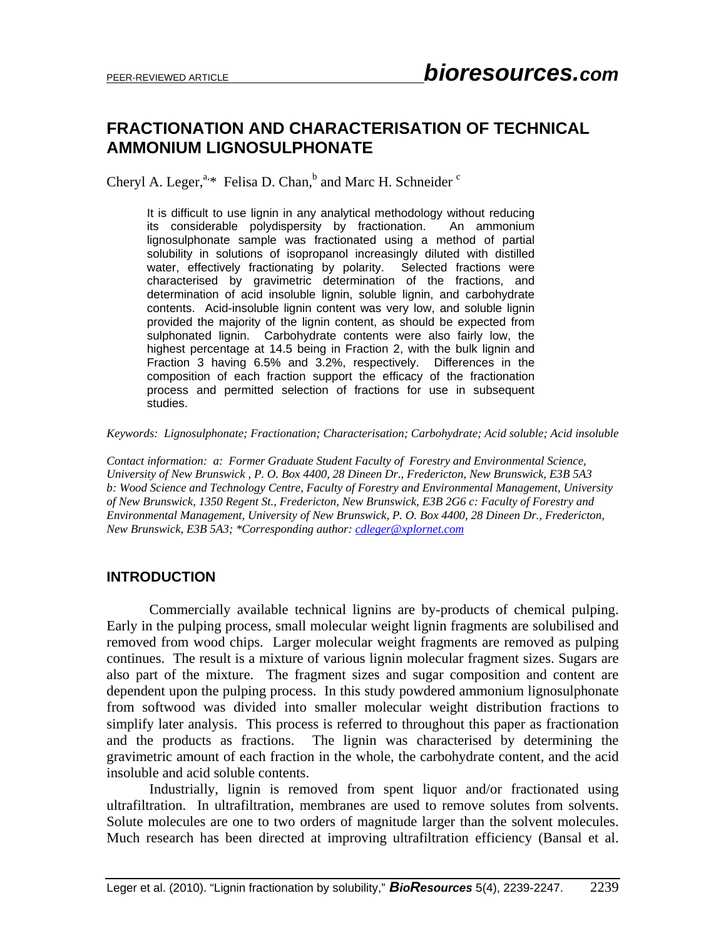# **FRACTIONATION AND CHARACTERISATION OF TECHNICAL AMMONIUM LIGNOSULPHONATE**

Cheryl A. Leger,  $a_{1,*}$  Felisa D. Chan, $b$  and Marc H. Schneider  $c$ 

It is difficult to use lignin in any analytical methodology without reducing its considerable polydispersity by fractionation. An ammonium lignosulphonate sample was fractionated using a method of partial solubility in solutions of isopropanol increasingly diluted with distilled water, effectively fractionating by polarity. Selected fractions were characterised by gravimetric determination of the fractions, and determination of acid insoluble lignin, soluble lignin, and carbohydrate contents. Acid-insoluble lignin content was very low, and soluble lignin provided the majority of the lignin content, as should be expected from sulphonated lignin. Carbohydrate contents were also fairly low, the highest percentage at 14.5 being in Fraction 2, with the bulk lignin and Fraction 3 having 6.5% and 3.2%, respectively. Differences in the composition of each fraction support the efficacy of the fractionation process and permitted selection of fractions for use in subsequent studies.

*Keywords: Lignosulphonate; Fractionation; Characterisation; Carbohydrate; Acid soluble; Acid insoluble* 

*Contact information: a: Former Graduate Student Faculty of Forestry and Environmental Science, University of New Brunswick , P. O. Box 4400, 28 Dineen Dr., Fredericton, New Brunswick, E3B 5A3 b: Wood Science and Technology Centre, Faculty of Forestry and Environmental Management, University of New Brunswick, 1350 Regent St., Fredericton, New Brunswick, E3B 2G6 c: Faculty of Forestry and Environmental Management, University of New Brunswick, P. O. Box 4400, 28 Dineen Dr., Fredericton, New Brunswick, E3B 5A3; \*Corresponding author: cdleger@xplornet.com*

#### **INTRODUCTION**

 Commercially available technical lignins are by-products of chemical pulping. Early in the pulping process, small molecular weight lignin fragments are solubilised and removed from wood chips. Larger molecular weight fragments are removed as pulping continues. The result is a mixture of various lignin molecular fragment sizes. Sugars are also part of the mixture. The fragment sizes and sugar composition and content are dependent upon the pulping process. In this study powdered ammonium lignosulphonate from softwood was divided into smaller molecular weight distribution fractions to simplify later analysis. This process is referred to throughout this paper as fractionation and the products as fractions. The lignin was characterised by determining the gravimetric amount of each fraction in the whole, the carbohydrate content, and the acid insoluble and acid soluble contents.

Industrially, lignin is removed from spent liquor and/or fractionated using ultrafiltration. In ultrafiltration, membranes are used to remove solutes from solvents. Solute molecules are one to two orders of magnitude larger than the solvent molecules. Much research has been directed at improving ultrafiltration efficiency (Bansal et al.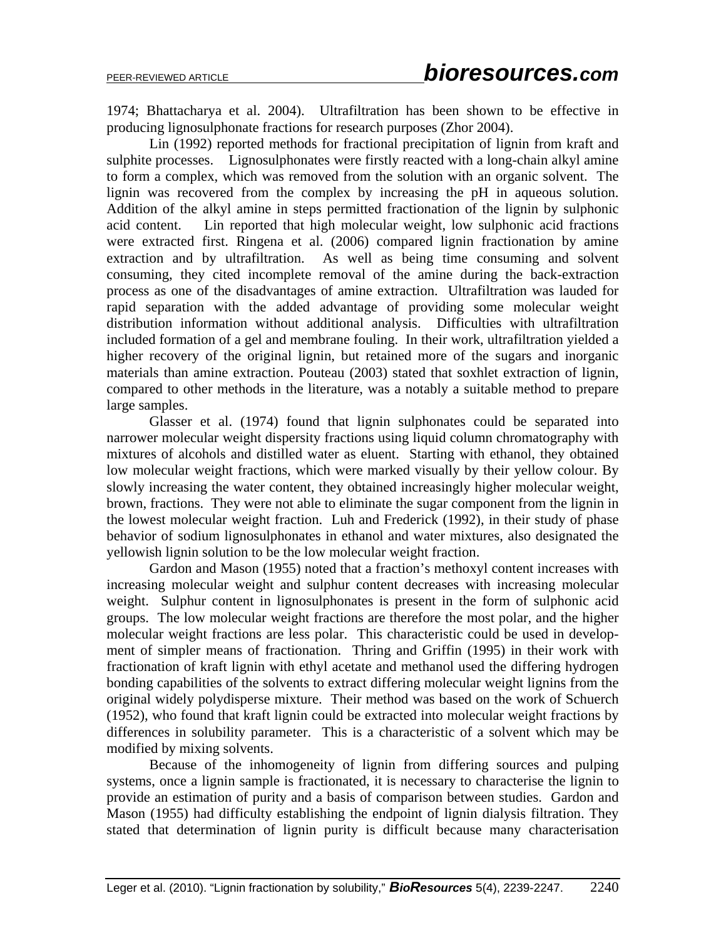1974; Bhattacharya et al. 2004). Ultrafiltration has been shown to be effective in producing lignosulphonate fractions for research purposes (Zhor 2004).

Lin (1992) reported methods for fractional precipitation of lignin from kraft and sulphite processes. Lignosulphonates were firstly reacted with a long-chain alkyl amine to form a complex, which was removed from the solution with an organic solvent. The lignin was recovered from the complex by increasing the pH in aqueous solution. Addition of the alkyl amine in steps permitted fractionation of the lignin by sulphonic acid content. Lin reported that high molecular weight, low sulphonic acid fractions were extracted first. Ringena et al. (2006) compared lignin fractionation by amine extraction and by ultrafiltration. As well as being time consuming and solvent consuming, they cited incomplete removal of the amine during the back-extraction process as one of the disadvantages of amine extraction. Ultrafiltration was lauded for rapid separation with the added advantage of providing some molecular weight distribution information without additional analysis. Difficulties with ultrafiltration included formation of a gel and membrane fouling. In their work, ultrafiltration yielded a higher recovery of the original lignin, but retained more of the sugars and inorganic materials than amine extraction. Pouteau (2003) stated that soxhlet extraction of lignin, compared to other methods in the literature, was a notably a suitable method to prepare large samples.

Glasser et al. (1974) found that lignin sulphonates could be separated into narrower molecular weight dispersity fractions using liquid column chromatography with mixtures of alcohols and distilled water as eluent. Starting with ethanol, they obtained low molecular weight fractions, which were marked visually by their yellow colour. By slowly increasing the water content, they obtained increasingly higher molecular weight, brown, fractions. They were not able to eliminate the sugar component from the lignin in the lowest molecular weight fraction. Luh and Frederick (1992), in their study of phase behavior of sodium lignosulphonates in ethanol and water mixtures, also designated the yellowish lignin solution to be the low molecular weight fraction.

Gardon and Mason (1955) noted that a fraction's methoxyl content increases with increasing molecular weight and sulphur content decreases with increasing molecular weight. Sulphur content in lignosulphonates is present in the form of sulphonic acid groups. The low molecular weight fractions are therefore the most polar, and the higher molecular weight fractions are less polar. This characteristic could be used in development of simpler means of fractionation. Thring and Griffin (1995) in their work with fractionation of kraft lignin with ethyl acetate and methanol used the differing hydrogen bonding capabilities of the solvents to extract differing molecular weight lignins from the original widely polydisperse mixture. Their method was based on the work of Schuerch (1952), who found that kraft lignin could be extracted into molecular weight fractions by differences in solubility parameter. This is a characteristic of a solvent which may be modified by mixing solvents.

Because of the inhomogeneity of lignin from differing sources and pulping systems, once a lignin sample is fractionated, it is necessary to characterise the lignin to provide an estimation of purity and a basis of comparison between studies. Gardon and Mason (1955) had difficulty establishing the endpoint of lignin dialysis filtration. They stated that determination of lignin purity is difficult because many characterisation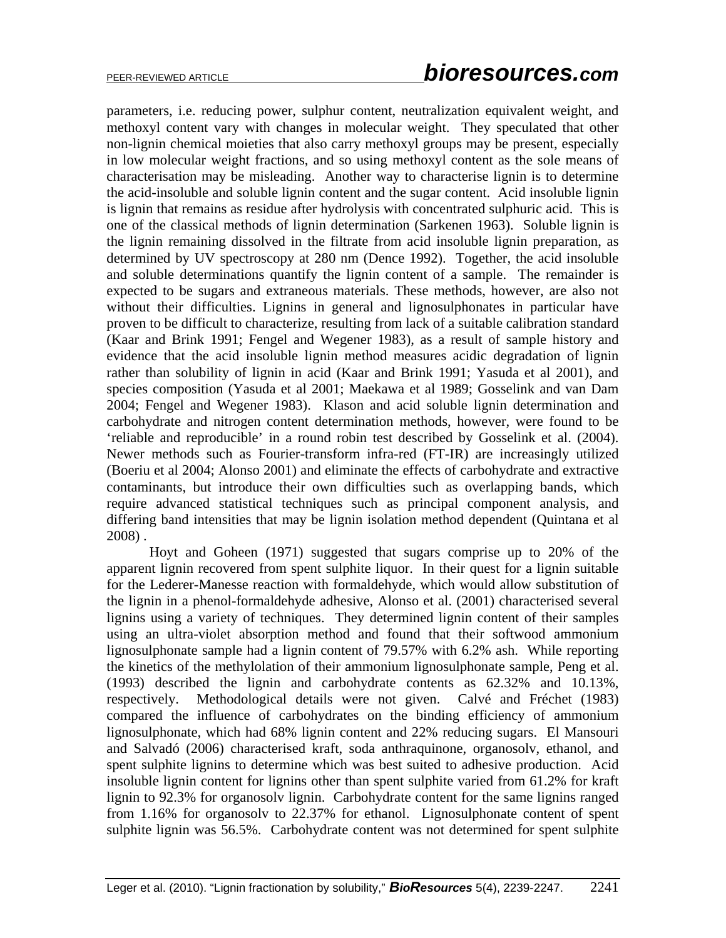parameters, i.e. reducing power, sulphur content, neutralization equivalent weight, and methoxyl content vary with changes in molecular weight. They speculated that other non-lignin chemical moieties that also carry methoxyl groups may be present, especially in low molecular weight fractions, and so using methoxyl content as the sole means of characterisation may be misleading. Another way to characterise lignin is to determine the acid-insoluble and soluble lignin content and the sugar content. Acid insoluble lignin is lignin that remains as residue after hydrolysis with concentrated sulphuric acid. This is one of the classical methods of lignin determination (Sarkenen 1963). Soluble lignin is the lignin remaining dissolved in the filtrate from acid insoluble lignin preparation, as determined by UV spectroscopy at 280 nm (Dence 1992). Together, the acid insoluble and soluble determinations quantify the lignin content of a sample. The remainder is expected to be sugars and extraneous materials. These methods, however, are also not without their difficulties. Lignins in general and lignosulphonates in particular have proven to be difficult to characterize, resulting from lack of a suitable calibration standard (Kaar and Brink 1991; Fengel and Wegener 1983), as a result of sample history and evidence that the acid insoluble lignin method measures acidic degradation of lignin rather than solubility of lignin in acid (Kaar and Brink 1991; Yasuda et al 2001), and species composition (Yasuda et al 2001; Maekawa et al 1989; Gosselink and van Dam 2004; Fengel and Wegener 1983). Klason and acid soluble lignin determination and carbohydrate and nitrogen content determination methods, however, were found to be 'reliable and reproducible' in a round robin test described by Gosselink et al. (2004). Newer methods such as Fourier-transform infra-red (FT-IR) are increasingly utilized (Boeriu et al 2004; Alonso 2001) and eliminate the effects of carbohydrate and extractive contaminants, but introduce their own difficulties such as overlapping bands, which require advanced statistical techniques such as principal component analysis, and differing band intensities that may be lignin isolation method dependent (Quintana et al 2008) .

Hoyt and Goheen (1971) suggested that sugars comprise up to 20% of the apparent lignin recovered from spent sulphite liquor. In their quest for a lignin suitable for the Lederer-Manesse reaction with formaldehyde, which would allow substitution of the lignin in a phenol-formaldehyde adhesive, Alonso et al. (2001) characterised several lignins using a variety of techniques. They determined lignin content of their samples using an ultra-violet absorption method and found that their softwood ammonium lignosulphonate sample had a lignin content of 79.57% with 6.2% ash. While reporting the kinetics of the methylolation of their ammonium lignosulphonate sample, Peng et al. (1993) described the lignin and carbohydrate contents as 62.32% and 10.13%, respectively. Methodological details were not given. Calvé and Fréchet (1983) compared the influence of carbohydrates on the binding efficiency of ammonium lignosulphonate, which had 68% lignin content and 22% reducing sugars. El Mansouri and Salvadó (2006) characterised kraft, soda anthraquinone, organosolv, ethanol, and spent sulphite lignins to determine which was best suited to adhesive production. Acid insoluble lignin content for lignins other than spent sulphite varied from 61.2% for kraft lignin to 92.3% for organosolv lignin. Carbohydrate content for the same lignins ranged from 1.16% for organosolv to 22.37% for ethanol. Lignosulphonate content of spent sulphite lignin was 56.5%. Carbohydrate content was not determined for spent sulphite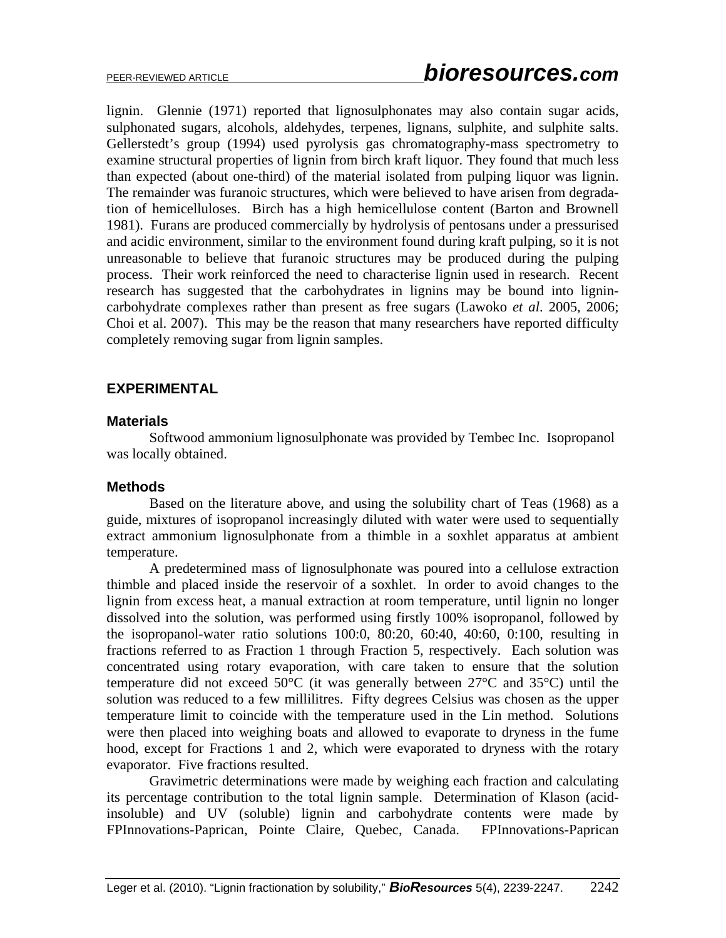lignin. Glennie (1971) reported that lignosulphonates may also contain sugar acids, sulphonated sugars, alcohols, aldehydes, terpenes, lignans, sulphite, and sulphite salts. Gellerstedt's group (1994) used pyrolysis gas chromatography-mass spectrometry to examine structural properties of lignin from birch kraft liquor. They found that much less than expected (about one-third) of the material isolated from pulping liquor was lignin. The remainder was furanoic structures, which were believed to have arisen from degradation of hemicelluloses. Birch has a high hemicellulose content (Barton and Brownell 1981). Furans are produced commercially by hydrolysis of pentosans under a pressurised and acidic environment, similar to the environment found during kraft pulping, so it is not unreasonable to believe that furanoic structures may be produced during the pulping process. Their work reinforced the need to characterise lignin used in research. Recent research has suggested that the carbohydrates in lignins may be bound into lignincarbohydrate complexes rather than present as free sugars (Lawoko *et al*. 2005, 2006; Choi et al. 2007). This may be the reason that many researchers have reported difficulty completely removing sugar from lignin samples.

### **EXPERIMENTAL**

#### **Materials**

 Softwood ammonium lignosulphonate was provided by Tembec Inc. Isopropanol was locally obtained.

#### **Methods**

Based on the literature above, and using the solubility chart of Teas (1968) as a guide, mixtures of isopropanol increasingly diluted with water were used to sequentially extract ammonium lignosulphonate from a thimble in a soxhlet apparatus at ambient temperature.

A predetermined mass of lignosulphonate was poured into a cellulose extraction thimble and placed inside the reservoir of a soxhlet. In order to avoid changes to the lignin from excess heat, a manual extraction at room temperature, until lignin no longer dissolved into the solution, was performed using firstly 100% isopropanol, followed by the isopropanol-water ratio solutions 100:0, 80:20, 60:40, 40:60, 0:100, resulting in fractions referred to as Fraction 1 through Fraction 5, respectively. Each solution was concentrated using rotary evaporation, with care taken to ensure that the solution temperature did not exceed 50°C (it was generally between 27°C and 35°C) until the solution was reduced to a few millilitres. Fifty degrees Celsius was chosen as the upper temperature limit to coincide with the temperature used in the Lin method. Solutions were then placed into weighing boats and allowed to evaporate to dryness in the fume hood, except for Fractions 1 and 2, which were evaporated to dryness with the rotary evaporator. Five fractions resulted.

Gravimetric determinations were made by weighing each fraction and calculating its percentage contribution to the total lignin sample. Determination of Klason (acidinsoluble) and UV (soluble) lignin and carbohydrate contents were made by FPInnovations-Paprican, Pointe Claire, Quebec, Canada. FPInnovations-Paprican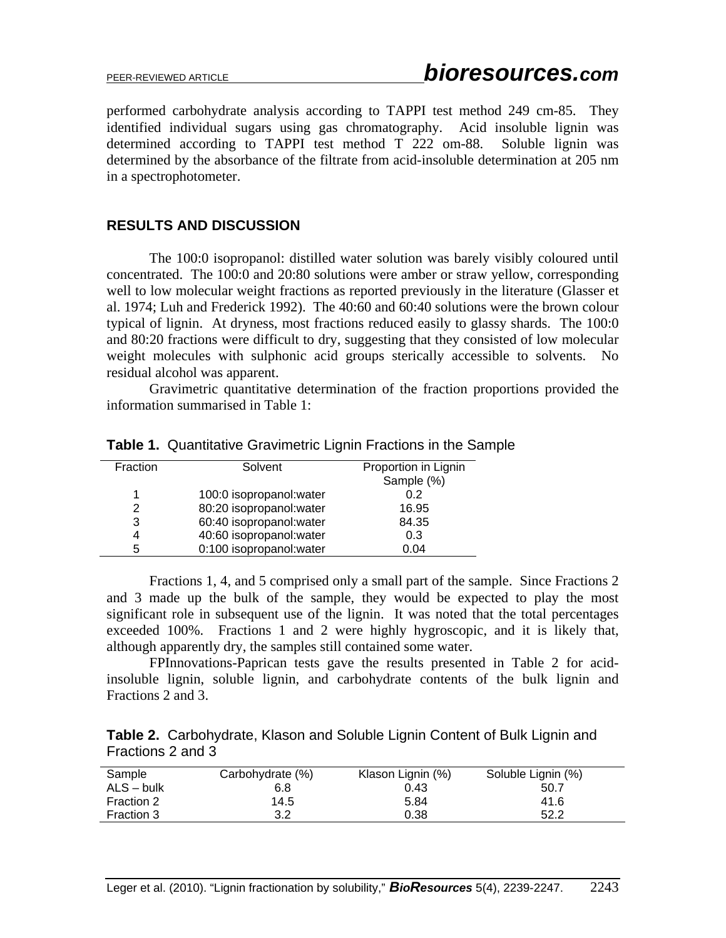performed carbohydrate analysis according to TAPPI test method 249 cm-85. They identified individual sugars using gas chromatography. Acid insoluble lignin was determined according to TAPPI test method T 222 om-88. Soluble lignin was determined by the absorbance of the filtrate from acid-insoluble determination at 205 nm in a spectrophotometer.

### **RESULTS AND DISCUSSION**

 The 100:0 isopropanol: distilled water solution was barely visibly coloured until concentrated. The 100:0 and 20:80 solutions were amber or straw yellow, corresponding well to low molecular weight fractions as reported previously in the literature (Glasser et al. 1974; Luh and Frederick 1992). The 40:60 and 60:40 solutions were the brown colour typical of lignin. At dryness, most fractions reduced easily to glassy shards. The 100:0 and 80:20 fractions were difficult to dry, suggesting that they consisted of low molecular weight molecules with sulphonic acid groups sterically accessible to solvents. No residual alcohol was apparent.

 Gravimetric quantitative determination of the fraction proportions provided the information summarised in Table 1:

| Fraction | Solvent                  | Proportion in Lignin |
|----------|--------------------------|----------------------|
|          |                          | Sample (%)           |
| 1        | 100:0 isopropanol: water | 0.2                  |
| 2        | 80:20 isopropanol: water | 16.95                |
| 3        | 60:40 isopropanol: water | 84.35                |
| 4        | 40:60 isopropanol: water | 0.3                  |
| 5        | 0:100 isopropanol: water | 0.04                 |
|          |                          |                      |

**Table 1.** Quantitative Gravimetric Lignin Fractions in the Sample

 Fractions 1, 4, and 5 comprised only a small part of the sample. Since Fractions 2 and 3 made up the bulk of the sample, they would be expected to play the most significant role in subsequent use of the lignin. It was noted that the total percentages exceeded 100%. Fractions 1 and 2 were highly hygroscopic, and it is likely that, although apparently dry, the samples still contained some water.

 FPInnovations-Paprican tests gave the results presented in Table 2 for acidinsoluble lignin, soluble lignin, and carbohydrate contents of the bulk lignin and Fractions 2 and 3.

**Table 2.** Carbohydrate, Klason and Soluble Lignin Content of Bulk Lignin and Fractions 2 and 3

| Sample       | Carbohydrate (%) | Klason Lignin (%) | Soluble Lignin (%) |
|--------------|------------------|-------------------|--------------------|
| $ALS - bulk$ | 6.8              | 0.43              | 50.7               |
| Fraction 2   | 14.5             | 5.84              | 41.6               |
| Fraction 3   | 3.2              | 0.38              | 52.2               |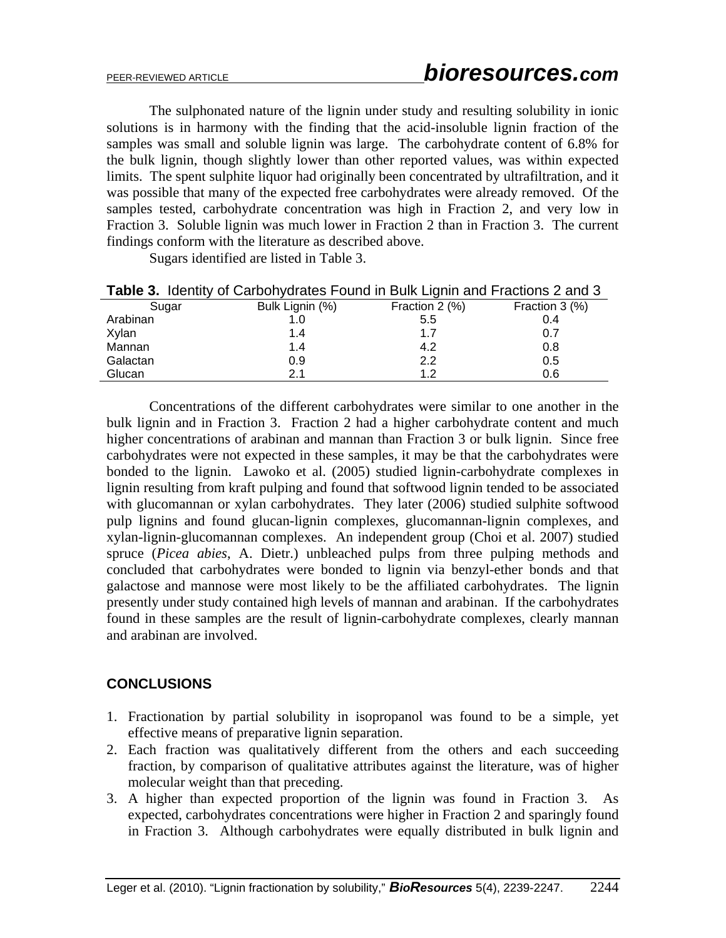The sulphonated nature of the lignin under study and resulting solubility in ionic solutions is in harmony with the finding that the acid-insoluble lignin fraction of the samples was small and soluble lignin was large. The carbohydrate content of 6.8% for the bulk lignin, though slightly lower than other reported values, was within expected limits. The spent sulphite liquor had originally been concentrated by ultrafiltration, and it was possible that many of the expected free carbohydrates were already removed. Of the samples tested, carbohydrate concentration was high in Fraction 2, and very low in Fraction 3. Soluble lignin was much lower in Fraction 2 than in Fraction 3. The current findings conform with the literature as described above.

Sugars identified are listed in Table 3.

|          | <b>Table 5.</b> Tuchtly Of CarboltyGrates Found In Duin Lightli and Fractions Z and S |                |                |
|----------|---------------------------------------------------------------------------------------|----------------|----------------|
| Sugar    | Bulk Lignin (%)                                                                       | Fraction 2 (%) | Fraction 3 (%) |
| Arabinan | 1.0                                                                                   | 5.5            | 0.4            |
| Xylan    | 1.4                                                                                   | 1.7            | 0.7            |
| Mannan   | 1.4                                                                                   | 4.2            | 0.8            |
| Galactan | 0.9                                                                                   | 2.2            | 0.5            |
| Glucan   | 21                                                                                    | 12             | 0.6            |

|  |  | Table 3. Identity of Carbohydrates Found in Bulk Lignin and Fractions 2 and 3 |
|--|--|-------------------------------------------------------------------------------|
|  |  |                                                                               |

 Concentrations of the different carbohydrates were similar to one another in the bulk lignin and in Fraction 3. Fraction 2 had a higher carbohydrate content and much higher concentrations of arabinan and mannan than Fraction 3 or bulk lignin. Since free carbohydrates were not expected in these samples, it may be that the carbohydrates were bonded to the lignin. Lawoko et al. (2005) studied lignin-carbohydrate complexes in lignin resulting from kraft pulping and found that softwood lignin tended to be associated with glucomannan or xylan carbohydrates. They later (2006) studied sulphite softwood pulp lignins and found glucan-lignin complexes, glucomannan-lignin complexes, and xylan-lignin-glucomannan complexes. An independent group (Choi et al. 2007) studied spruce (*Picea abies*, A. Dietr.) unbleached pulps from three pulping methods and concluded that carbohydrates were bonded to lignin via benzyl-ether bonds and that galactose and mannose were most likely to be the affiliated carbohydrates. The lignin presently under study contained high levels of mannan and arabinan. If the carbohydrates found in these samples are the result of lignin-carbohydrate complexes, clearly mannan and arabinan are involved.

## **CONCLUSIONS**

- 1. Fractionation by partial solubility in isopropanol was found to be a simple, yet effective means of preparative lignin separation.
- 2. Each fraction was qualitatively different from the others and each succeeding fraction, by comparison of qualitative attributes against the literature, was of higher molecular weight than that preceding.
- 3. A higher than expected proportion of the lignin was found in Fraction 3. As expected, carbohydrates concentrations were higher in Fraction 2 and sparingly found in Fraction 3. Although carbohydrates were equally distributed in bulk lignin and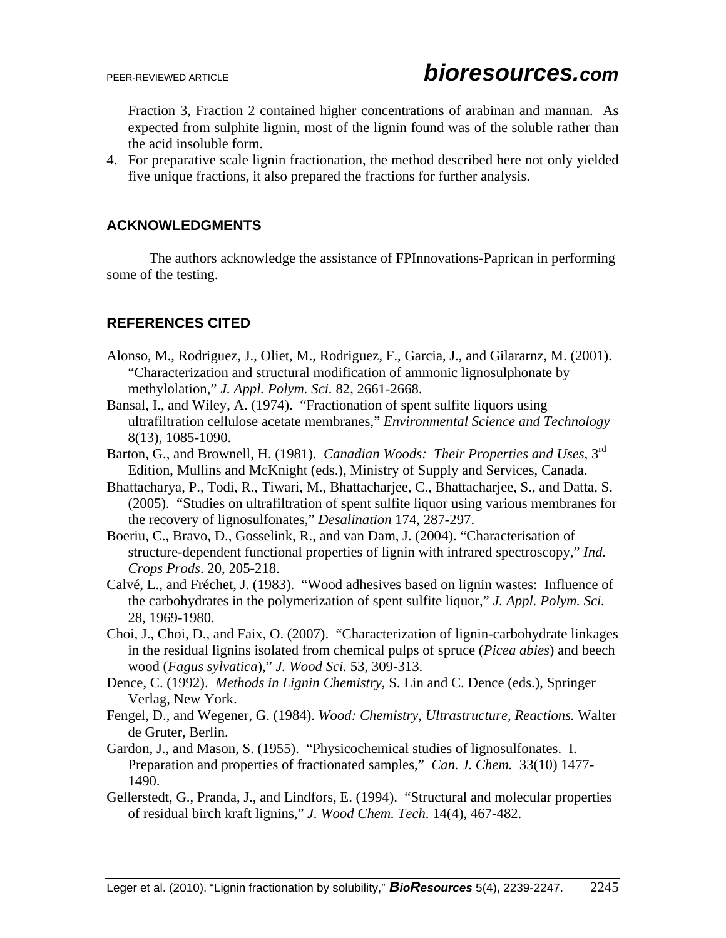Fraction 3, Fraction 2 contained higher concentrations of arabinan and mannan. As expected from sulphite lignin, most of the lignin found was of the soluble rather than the acid insoluble form.

4. For preparative scale lignin fractionation, the method described here not only yielded five unique fractions, it also prepared the fractions for further analysis.

# **ACKNOWLEDGMENTS**

 The authors acknowledge the assistance of FPInnovations-Paprican in performing some of the testing.

# **REFERENCES CITED**

- Alonso, M., Rodriguez, J., Oliet, M., Rodriguez, F., Garcia, J., and Gilararnz, M. (2001). "Characterization and structural modification of ammonic lignosulphonate by methylolation," *J. Appl. Polym. Sci.* 82, 2661-2668.
- Bansal, I., and Wiley, A. (1974). "Fractionation of spent sulfite liquors using ultrafiltration cellulose acetate membranes," *Environmental Science and Technology*  8(13), 1085-1090.
- Barton, G., and Brownell, H. (1981). *Canadian Woods: Their Properties and Uses*, 3rd Edition, Mullins and McKnight (eds.), Ministry of Supply and Services, Canada.
- Bhattacharya, P., Todi, R., Tiwari, M., Bhattacharjee, C., Bhattacharjee, S., and Datta, S. (2005). "Studies on ultrafiltration of spent sulfite liquor using various membranes for the recovery of lignosulfonates," *Desalination* 174, 287-297.
- Boeriu, C., Bravo, D., Gosselink, R., and van Dam, J. (2004). "Characterisation of structure-dependent functional properties of lignin with infrared spectroscopy," *Ind. Crops Prods*. 20, 205-218.
- Calvé, L., and Fréchet, J. (1983). "Wood adhesives based on lignin wastes: Influence of the carbohydrates in the polymerization of spent sulfite liquor," *J. Appl. Polym. Sci.* 28, 1969-1980.
- Choi, J., Choi, D., and Faix, O. (2007). "Characterization of lignin-carbohydrate linkages in the residual lignins isolated from chemical pulps of spruce (*Picea abies*) and beech wood (*Fagus sylvatica*)," *J. Wood Sci.* 53, 309-313.
- Dence, C. (1992). *Methods in Lignin Chemistry*, S. Lin and C. Dence (eds.), Springer Verlag, New York.
- Fengel, D., and Wegener, G. (1984). *Wood: Chemistry, Ultrastructure, Reactions.* Walter de Gruter, Berlin.
- Gardon, J., and Mason, S. (1955). "Physicochemical studies of lignosulfonates. I. Preparation and properties of fractionated samples," *Can. J. Chem.* 33(10) 1477- 1490.
- Gellerstedt, G., Pranda, J., and Lindfors, E. (1994). "Structural and molecular properties of residual birch kraft lignins," *J. Wood Chem. Tech*. 14(4), 467-482.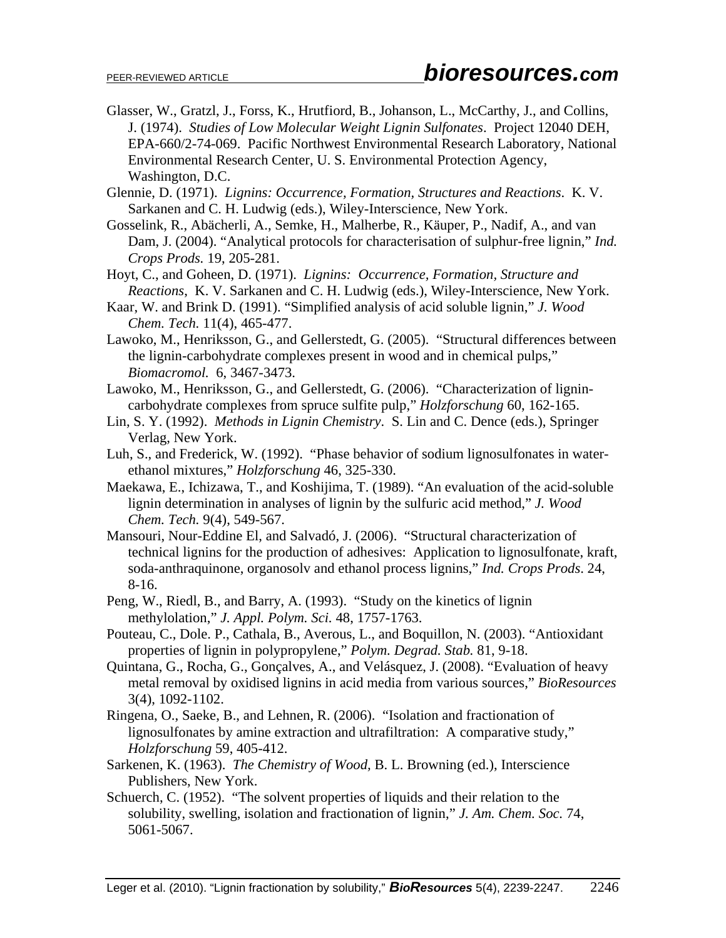- Glasser, W., Gratzl, J., Forss, K., Hrutfiord, B., Johanson, L., McCarthy, J., and Collins, J. (1974). *Studies of Low Molecular Weight Lignin Sulfonates*. Project 12040 DEH, EPA-660/2-74-069. Pacific Northwest Environmental Research Laboratory, National Environmental Research Center, U. S. Environmental Protection Agency, Washington, D.C.
- Glennie, D. (1971). *Lignins: Occurrence, Formation, Structures and Reactions*. K. V. Sarkanen and C. H. Ludwig (eds.), Wiley-Interscience, New York.
- Gosselink, R., Abächerli, A., Semke, H., Malherbe, R., Käuper, P., Nadif, A., and van Dam, J. (2004). "Analytical protocols for characterisation of sulphur-free lignin," *Ind. Crops Prods.* 19, 205-281.
- Hoyt, C., and Goheen, D. (1971). *Lignins: Occurrence, Formation, Structure and Reactions*, K. V. Sarkanen and C. H. Ludwig (eds.), Wiley-Interscience, New York.
- Kaar, W. and Brink D. (1991). "Simplified analysis of acid soluble lignin," *J. Wood Chem. Tech.* 11(4), 465-477.
- Lawoko, M., Henriksson, G., and Gellerstedt, G. (2005). "Structural differences between the lignin-carbohydrate complexes present in wood and in chemical pulps," *Biomacromol.* 6, 3467-3473.
- Lawoko, M., Henriksson, G., and Gellerstedt, G. (2006). "Characterization of lignincarbohydrate complexes from spruce sulfite pulp," *Holzforschung* 60, 162-165.
- Lin, S. Y. (1992). *Methods in Lignin Chemistry*. S. Lin and C. Dence (eds.), Springer Verlag, New York.
- Luh, S., and Frederick, W. (1992). "Phase behavior of sodium lignosulfonates in waterethanol mixtures," *Holzforschung* 46, 325-330.
- Maekawa, E., Ichizawa, T., and Koshijima, T. (1989). "An evaluation of the acid-soluble lignin determination in analyses of lignin by the sulfuric acid method," *J. Wood Chem. Tech.* 9(4), 549-567.
- Mansouri, Nour-Eddine El, and Salvadó, J. (2006). "Structural characterization of technical lignins for the production of adhesives: Application to lignosulfonate, kraft, soda-anthraquinone, organosolv and ethanol process lignins," *Ind. Crops Prods*. 24, 8-16.
- Peng, W., Riedl, B., and Barry, A. (1993). "Study on the kinetics of lignin methylolation," *J. Appl. Polym. Sci.* 48, 1757-1763.
- Pouteau, C., Dole. P., Cathala, B., Averous, L., and Boquillon, N. (2003). "Antioxidant properties of lignin in polypropylene," *Polym. Degrad. Stab.* 81, 9-18.
- Quintana, G., Rocha, G., Gonçalves, A., and Velásquez, J. (2008). "Evaluation of heavy metal removal by oxidised lignins in acid media from various sources," *BioResources* 3(4), 1092-1102.
- Ringena, O., Saeke, B., and Lehnen, R. (2006). "Isolation and fractionation of lignosulfonates by amine extraction and ultrafiltration: A comparative study," *Holzforschung* 59, 405-412.
- Sarkenen, K. (1963). *The Chemistry of Wood,* B. L. Browning (ed.), Interscience Publishers, New York.
- Schuerch, C. (1952). "The solvent properties of liquids and their relation to the solubility, swelling, isolation and fractionation of lignin," *J. Am. Chem. Soc.* 74, 5061-5067.